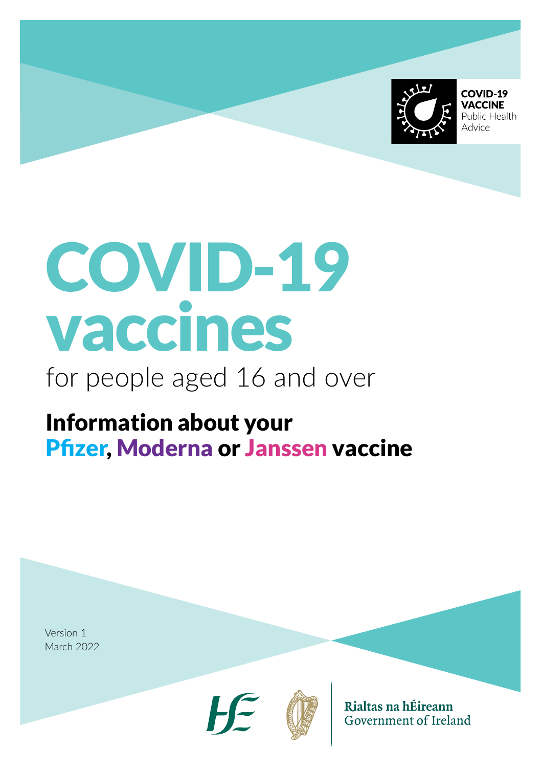

COVID-19 **VACCINE** Public Health Advice

# COVID-19 vaccines

# for people aged 16 and over

# Information about your Pfizer, Moderna or Janssen vaccine

Version 1 March 2022





Rialtas na hÉireann Government of Ireland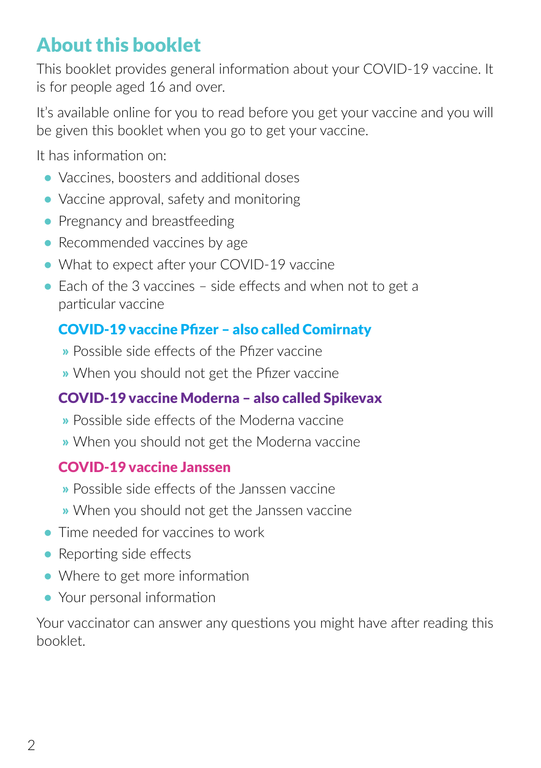# About this booklet

This booklet provides general information about your COVID-19 vaccine. It is for people aged 16 and over.

It's available online for you to read before you get your vaccine and you will be given this booklet when you go to get your vaccine.

It has information on:

- **•** Vaccines, boosters and additional doses
- **•** Vaccine approval, safety and monitoring
- Pregnancy and breastfeeding
- Recommended vaccines by age
- **•** What to expect after your COVID-19 vaccine
- **•** Each of the 3 vaccines side effects and when not to get a particular vaccine

### COVID-19 vaccine Pfizer – also called Comirnaty

- » Possible side effects of the Pfizer vaccine
- » When you should not get the Pfizer vaccine

### COVID-19 vaccine Moderna – also called Spikevax

- » Possible side effects of the Moderna vaccine
- » When you should not get the Moderna vaccine

### COVID-19 vaccine Janssen

- » Possible side effects of the Janssen vaccine
- » When you should not get the Janssen vaccine
- **•** Time needed for vaccines to work
- **•** Reporting side effects
- **•** Where to get more information
- **•** Your personal information

Your vaccinator can answer any questions you might have after reading this booklet.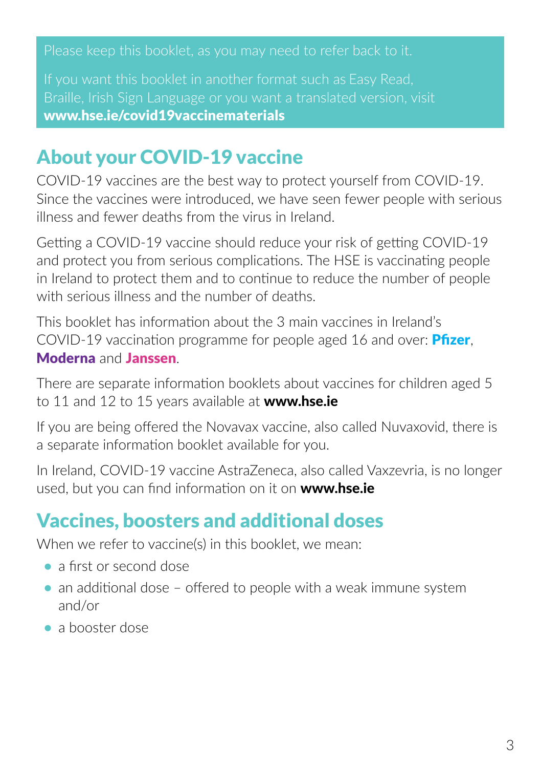[www.hse.ie/covid19vaccinematerials](https://www.hse.ie/eng/services/covid-19-resources-and-translations/covid-19-vaccine-materials/)

### About your COVID-19 vaccine

COVID-19 vaccines are the best way to protect yourself from COVID-19. Since the vaccines were introduced, we have seen fewer people with serious illness and fewer deaths from the virus in Ireland.

Getting a COVID-19 vaccine should reduce your risk of getting COVID-19 and protect you from serious complications. The HSE is vaccinating people in Ireland to protect them and to continue to reduce the number of people with serious illness and the number of deaths.

This booklet has information about the 3 main vaccines in Ireland's COVID-19 vaccination programme for people aged 16 and over: Pfizer, Moderna and Janssen.

There are separate information booklets about vaccines for children aged 5 to 11 and 12 to 15 years available at **www.[hse.ie](https://www.hse.ie/eng/)** 

If you are being offered the Novavax vaccine, also called Nuvaxovid, there is a separate information booklet available for you.

In Ireland, COVID-19 vaccine AstraZeneca, also called Vaxzevria, is no longer used, but you can find information on it on **www.h[se.ie](https://www.hse.ie/eng/)** 

# Vaccines, boosters and additional doses

When we refer to vaccine(s) in this booklet, we mean:

- **•** a first or second dose
- an additional dose offered to people with a weak immune system and/or
- **•** a booster dose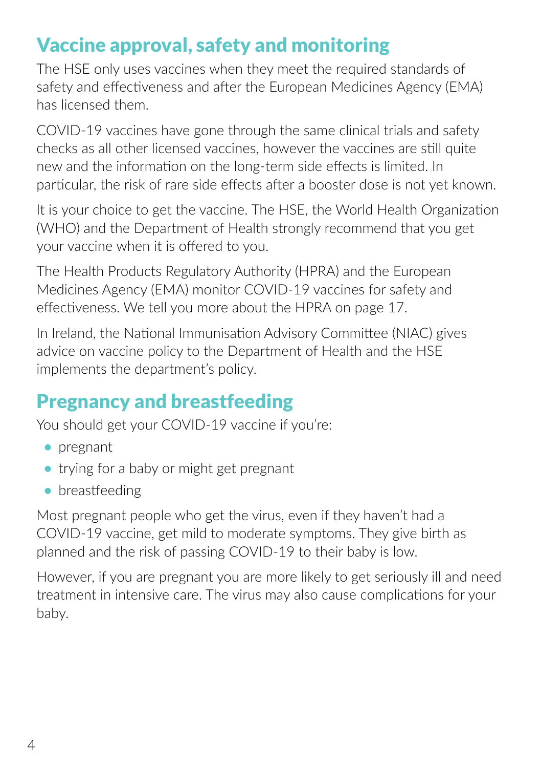# Vaccine approval, safety and monitoring

The HSE only uses vaccines when they meet the required standards of safety and effectiveness and after the European Medicines Agency (EMA) has licensed them.

COVID-19 vaccines have gone through the same clinical trials and safety checks as all other licensed vaccines, however the vaccines are still quite new and the information on the long-term side effects is limited. In particular, the risk of rare side effects after a booster dose is not yet known.

It is your choice to get the vaccine. The HSE, the World Health Organization (WHO) and the Department of Health strongly recommend that you get your vaccine when it is offered to you.

The Health Products Regulatory Authority (HPRA) and the European Medicines Agency (EMA) monitor COVID-19 vaccines for safety and effectiveness. We tell you more about the HPRA on page 17.

In Ireland, the National Immunisation Advisory Committee (NIAC) gives advice on vaccine policy to the Department of Health and the HSE implements the department's policy.

### Pregnancy and breastfeeding

You should get your COVID-19 vaccine if you're:

- **•** pregnant
- **•** trying for a baby or might get pregnant
- **•** breastfeeding

Most pregnant people who get the virus, even if they haven't had a COVID-19 vaccine, get mild to moderate symptoms. They give birth as planned and the risk of passing COVID-19 to their baby is low.

However, if you are pregnant you are more likely to get seriously ill and need treatment in intensive care. The virus may also cause complications for your baby.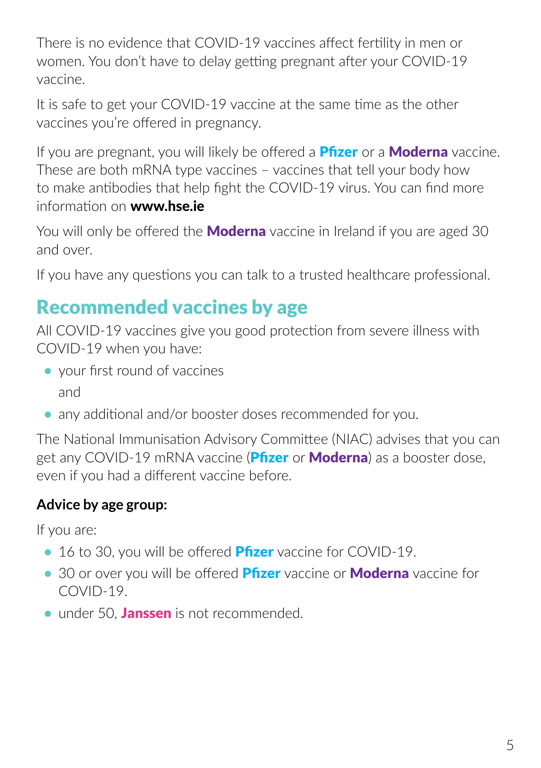There is no evidence that COVID-19 vaccines affect fertility in men or women. You don't have to delay getting pregnant after your COVID-19 vaccine.

It is safe to get your COVID-19 vaccine at the same time as the other vaccines you're offered in pregnancy.

If you are pregnant, you will likely be offered a **Pfizer** or a **Moderna** vaccine. These are both mRNA type vaccines – vaccines that tell your body how to make antibodies that help fight the COVID-19 virus. You can find more information on www.h[se.ie](https://www.hse.ie/eng/)

You will only be offered the **Moderna** vaccine in Ireland if you are aged 30 and over.

If you have any questions you can talk to a trusted healthcare professional.

# Recommended vaccines by age

All COVID-19 vaccines give you good protection from severe illness with COVID-19 when you have:

- **•** your first round of vaccines and
- **•** any additional and/or booster doses recommended for you.

The National Immunisation Advisory Committee (NIAC) advises that you can get any COVID-19 mRNA vaccine (Pfizer or Moderna) as a booster dose, even if you had a different vaccine before.

### **Advice by age group:**

If you are:

- 16 to 30, you will be offered **Pfizer** vaccine for COVID-19.
- **•** 30 or over you will be offered **Pfizer** vaccine or **Moderna** vaccine for COVID-19.
- under 50. Janssen is not recommended.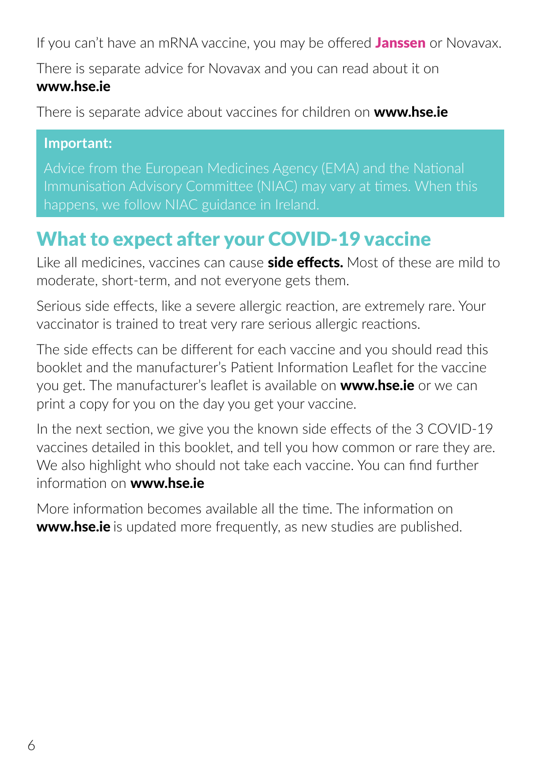If you can't have an mRNA vaccine, you may be offered **Janssen** or Novavax.

There is separate advice for Novavax and you can read about it on www.h[se.ie](https://www.hse.ie/eng/) 

There is separate advice about vaccines for children on **www.hse.ie** 

#### **Important:**

Advice from the European Medicines Agency (EMA) and the National Immunisation Advisory Committee (NIAC) may vary at times. When this

## What to expect after your COVID-19 vaccine

Like all medicines, vaccines can cause **side effects.** Most of these are mild to moderate, short-term, and not everyone gets them.

Serious side effects, like a severe allergic reaction, are extremely rare. Your vaccinator is trained to treat very rare serious allergic reactions.

The side effects can be different for each vaccine and you should read this booklet and the manufacturer's Patient Information Leaflet for the vaccine you get. The manufacturer's leaflet is available on **www.[hse.ie](https://www.hse.ie/eng/)** or we can print a copy for you on the day you get your vaccine.

In the next section, we give you the known side effects of the 3 COVID-19 vaccines detailed in this booklet, and tell you how common or rare they are. We also highlight who should not take each vaccine. You can find further information on www.h[se.ie](https://www.hse.ie/eng/) 

More information becomes available all the time. The information on **www.h[se.ie](https://www.hse.ie/eng/)** is updated more frequently, as new studies are published.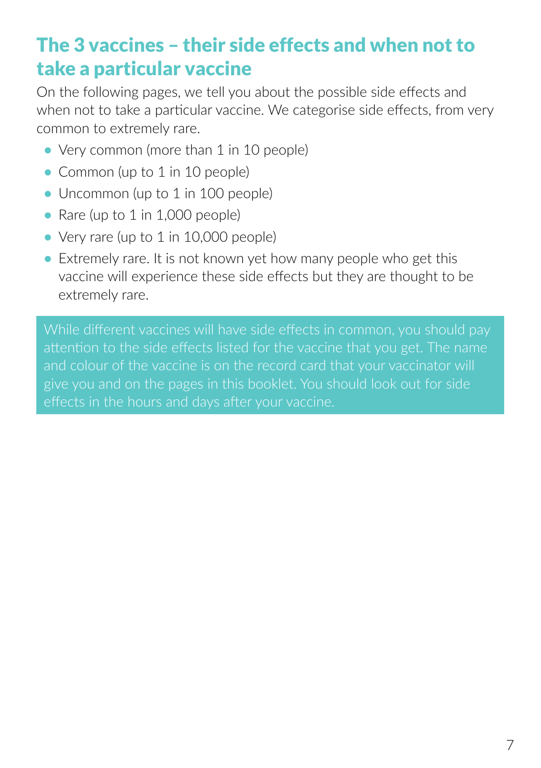# The 3 vaccines – their side effects and when not to take a particular vaccine

On the following pages, we tell you about the possible side effects and when not to take a particular vaccine. We categorise side effects, from very common to extremely rare.

- Very common (more than 1 in 10 people)
- Common (up to 1 in 10 people)
- Uncommon (up to 1 in 100 people)
- Rare (up to 1 in 1,000 people)
- Very rare (up to 1 in 10,000 people)
- **•** Extremely rare. It is not known yet how many people who get this vaccine will experience these side effects but they are thought to be extremely rare.

While different vaccines will have side effects in common, you should pay attention to the side effects listed for the vaccine that you get. The name give you and on the pages in this booklet. You should look out for side effects in the hours and days after your vaccine.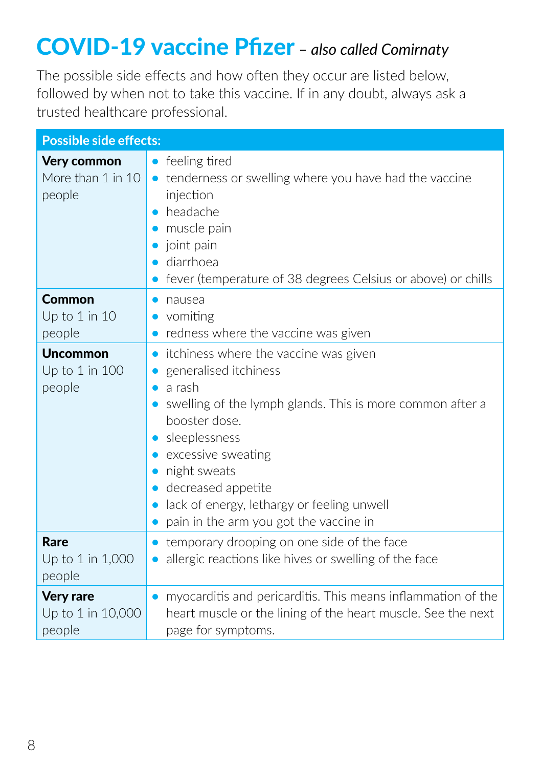# COVID-19 vaccine Pfizer *– also called Comirnaty*

The possible side effects and how often they occur are listed below, followed by when not to take this vaccine. If in any doubt, always ask a trusted healthcare professional.

| <b>Possible side effects:</b>                   |                                                                                                                                                                                                                                                                                                                                                       |  |
|-------------------------------------------------|-------------------------------------------------------------------------------------------------------------------------------------------------------------------------------------------------------------------------------------------------------------------------------------------------------------------------------------------------------|--|
| Very common<br>More than 1 in 10<br>people      | feeling tired<br>$\bullet$<br>tenderness or swelling where you have had the vaccine<br>$\bullet$<br>injection<br>headache<br>muscle pain<br>joint pain<br>diarrhoea<br>fever (temperature of 38 degrees Celsius or above) or chills                                                                                                                   |  |
| Common<br>Up to 1 in 10<br>people               | nausea<br>$\bullet$<br>vomiting<br>redness where the vaccine was given                                                                                                                                                                                                                                                                                |  |
| <b>Uncommon</b><br>Up to 1 in 100<br>people     | itchiness where the vaccine was given<br>$\bullet$<br>generalised itchiness<br>a rash<br>$\bullet$<br>swelling of the lymph glands. This is more common after a<br>booster dose.<br>sleeplessness<br>excessive sweating<br>night sweats<br>decreased appetite<br>lack of energy, lethargy or feeling unwell<br>pain in the arm you got the vaccine in |  |
| Rare<br>Up to 1 in 1,000<br>people              | temporary drooping on one side of the face<br>$\bullet$<br>allergic reactions like hives or swelling of the face                                                                                                                                                                                                                                      |  |
| <b>Very rare</b><br>Up to 1 in 10,000<br>people | myocarditis and pericarditis. This means inflammation of the<br>heart muscle or the lining of the heart muscle. See the next<br>page for symptoms.                                                                                                                                                                                                    |  |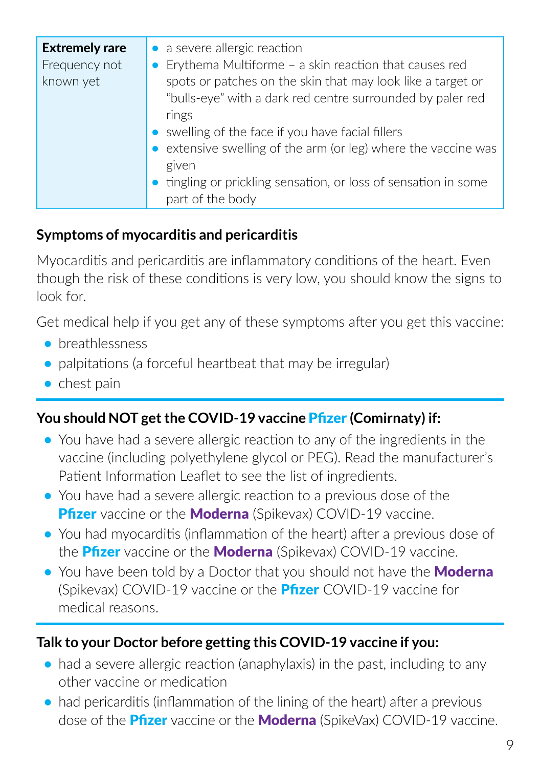| <b>Extremely rare</b> | a severe allergic reaction                                                                                                |
|-----------------------|---------------------------------------------------------------------------------------------------------------------------|
| Frequency not         | Erythema Multiforme - a skin reaction that causes red                                                                     |
| known yet             | spots or patches on the skin that may look like a target or<br>"bulls-eye" with a dark red centre surrounded by paler red |
|                       | rings                                                                                                                     |
|                       | swelling of the face if you have facial fillers                                                                           |
|                       | extensive swelling of the arm (or leg) where the vaccine was                                                              |
|                       | given                                                                                                                     |
|                       | tingling or prickling sensation, or loss of sensation in some<br>part of the body                                         |
|                       |                                                                                                                           |

### **Symptoms of myocarditis and pericarditis**

Myocarditis and pericarditis are inflammatory conditions of the heart. Even though the risk of these conditions is very low, you should know the signs to look for.

Get medical help if you get any of these symptoms after you get this vaccine:

- **•** breathlessness
- **•** palpitations (a forceful heartbeat that may be irregular)
- **•** chest pain

### **You should NOT get the COVID-19 vaccine** Pfizer **(Comirnaty) if:**

- **•** You have had a severe allergic reaction to any of the ingredients in the vaccine (including polyethylene glycol or PEG). Read the manufacturer's Patient Information Leaflet to see the list of ingredients.
- **•** You have had a severe allergic reaction to a previous dose of the **Pfizer** vaccine or the **Moderna** (Spikevax) COVID-19 vaccine.
- **•** You had myocarditis (inflammation of the heart) after a previous dose of the **Pfizer** vaccine or the **Moderna** (Spikevax) COVID-19 vaccine.
- You have been told by a Doctor that you should not have the **Moderna** (Spikevax) COVID-19 vaccine or the **Pfizer** COVID-19 vaccine for medical reasons.

### **Talk to your Doctor before getting this COVID-19 vaccine if you:**

- had a severe allergic reaction (anaphylaxis) in the past, including to any other vaccine or medication
- had pericarditis (inflammation of the lining of the heart) after a previous dose of the **Pfizer** vaccine or the **Moderna** (SpikeVax) COVID-19 vaccine.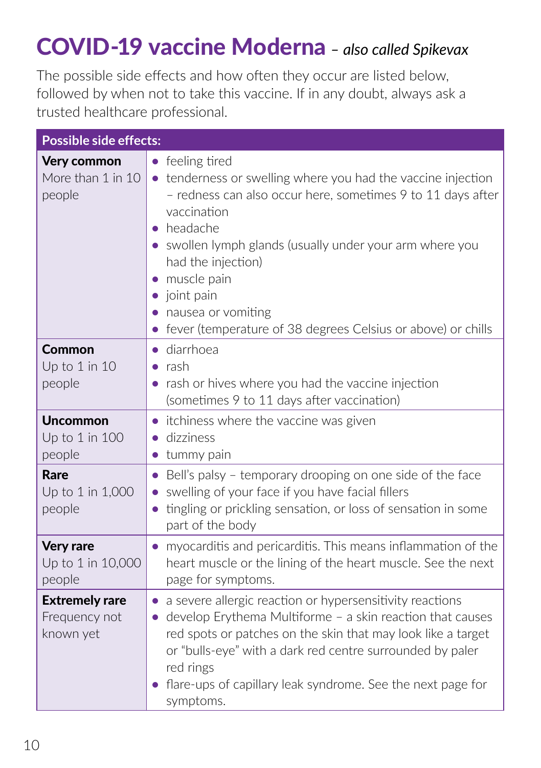# COVID-19 vaccine Moderna *– also called Spikevax*

The possible side effects and how often they occur are listed below, followed by when not to take this vaccine. If in any doubt, always ask a trusted healthcare professional.

| <b>Possible side effects:</b>                       |                                                                                                                                                                                                                                                                                                                                                                                               |  |
|-----------------------------------------------------|-----------------------------------------------------------------------------------------------------------------------------------------------------------------------------------------------------------------------------------------------------------------------------------------------------------------------------------------------------------------------------------------------|--|
| <b>Very common</b><br>More than 1 in 10<br>people   | • feeling tired<br>• tenderness or swelling where you had the vaccine injection<br>- redness can also occur here, sometimes 9 to 11 days after<br>vaccination<br>• headache<br>• swollen lymph glands (usually under your arm where you<br>had the injection)<br>muscle pain<br>joint pain<br>nausea or vomiting<br>fever (temperature of 38 degrees Celsius or above) or chills<br>$\bullet$ |  |
| Common<br>Up to 1 in 10<br>people                   | diarrhoea<br>$\bullet$<br>rash<br>$\bullet$<br>rash or hives where you had the vaccine injection<br>(sometimes 9 to 11 days after vaccination)                                                                                                                                                                                                                                                |  |
| <b>Uncommon</b><br>Up to 1 in 100<br>people         | • itchiness where the vaccine was given<br>· dizziness<br>• tummy pain                                                                                                                                                                                                                                                                                                                        |  |
| <b>Rare</b><br>Up to 1 in 1,000<br>people           | Bell's palsy - temporary drooping on one side of the face<br>$\bullet$<br>swelling of your face if you have facial fillers<br>tingling or prickling sensation, or loss of sensation in some<br>$\bullet$<br>part of the body                                                                                                                                                                  |  |
| <b>Very rare</b><br>Up to 1 in 10,000<br>people     | myocarditis and pericarditis. This means inflammation of the<br>$\bullet$<br>heart muscle or the lining of the heart muscle. See the next<br>page for symptoms.                                                                                                                                                                                                                               |  |
| <b>Extremely rare</b><br>Frequency not<br>known yet | • a severe allergic reaction or hypersensitivity reactions<br>develop Erythema Multiforme - a skin reaction that causes<br>$\bullet$<br>red spots or patches on the skin that may look like a target<br>or "bulls-eye" with a dark red centre surrounded by paler<br>red rings<br>flare-ups of capillary leak syndrome. See the next page for<br>symptoms.                                    |  |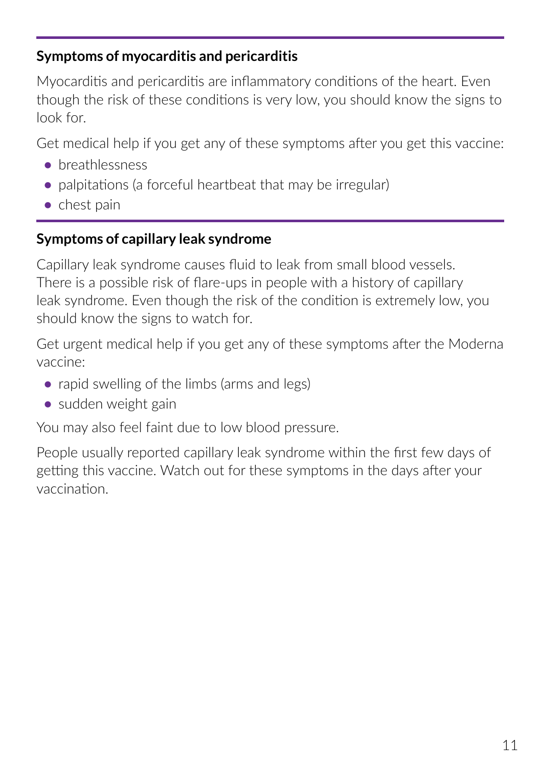### **Symptoms of myocarditis and pericarditis**

Myocarditis and pericarditis are inflammatory conditions of the heart. Even though the risk of these conditions is very low, you should know the signs to look for.

Get medical help if you get any of these symptoms after you get this vaccine:

- **•** breathlessness
- palpitations (a forceful heartbeat that may be irregular)
- **•** chest pain

### **Symptoms of capillary leak syndrome**

Capillary leak syndrome causes fluid to leak from small blood vessels. There is a possible risk of flare-ups in people with a history of capillary leak syndrome. Even though the risk of the condition is extremely low, you should know the signs to watch for.

Get urgent medical help if you get any of these symptoms after the Moderna vaccine:

- rapid swelling of the limbs (arms and legs)
- **•** sudden weight gain

You may also feel faint due to low blood pressure.

People usually reported capillary leak syndrome within the first few days of getting this vaccine. Watch out for these symptoms in the days after your vaccination.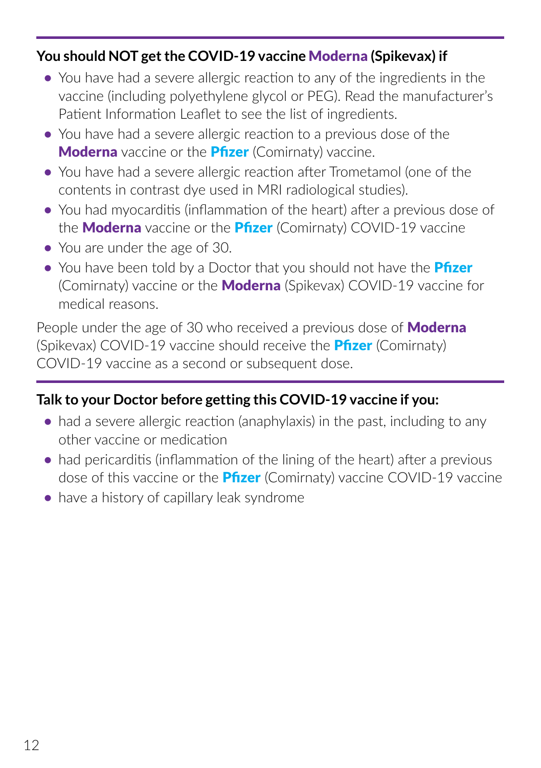#### **You should NOT get the COVID-19 vaccine** Moderna **(Spikevax) if**

- **•** You have had a severe allergic reaction to any of the ingredients in the vaccine (including polyethylene glycol or PEG). Read the manufacturer's Patient Information Leaflet to see the list of ingredients.
- **•** You have had a severe allergic reaction to a previous dose of the **Moderna** vaccine or the **Pfizer** (Comirnaty) vaccine.
- **•** You have had a severe allergic reaction after Trometamol (one of the contents in contrast dye used in MRI radiological studies).
- **•** You had myocarditis (inflammation of the heart) after a previous dose of the **Moderna** vaccine or the **Pfizer** (Comirnaty) COVID-19 vaccine
- **•** You are under the age of 30.
- You have been told by a Doctor that you should not have the **Pfizer** (Comirnaty) vaccine or the **Moderna** (Spikevax) COVID-19 vaccine for medical reasons.

People under the age of 30 who received a previous dose of **Moderna** (Spikevax) COVID-19 vaccine should receive the **Pfizer** (Comirnaty) COVID-19 vaccine as a second or subsequent dose.

### **Talk to your Doctor before getting this COVID-19 vaccine if you:**

- had a severe allergic reaction (anaphylaxis) in the past, including to any other vaccine or medication
- had pericarditis (inflammation of the lining of the heart) after a previous dose of this vaccine or the **Pfizer** (Comirnaty) vaccine COVID-19 vaccine
- have a history of capillary leak syndrome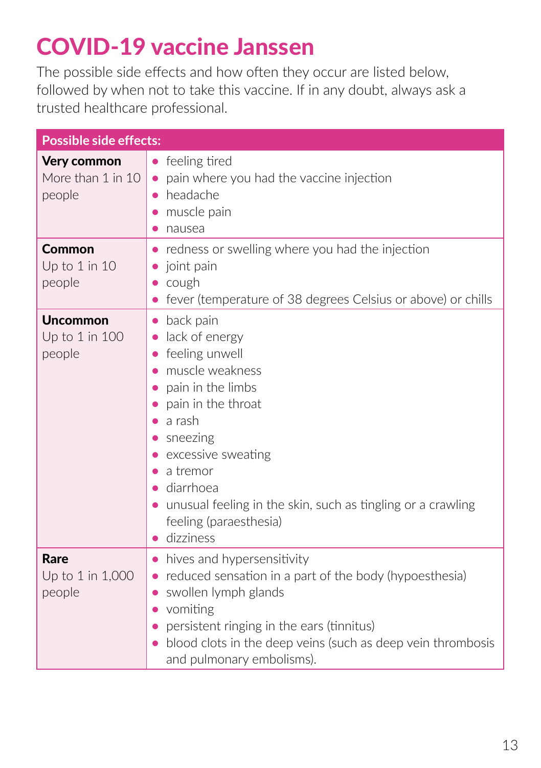# COVID-19 vaccine Janssen

The possible side effects and how often they occur are listed below, followed by when not to take this vaccine. If in any doubt, always ask a trusted healthcare professional.

| <b>Possible side effects:</b>               |                                                                                                                                                                                                                                                                                                                                 |  |
|---------------------------------------------|---------------------------------------------------------------------------------------------------------------------------------------------------------------------------------------------------------------------------------------------------------------------------------------------------------------------------------|--|
| Very common<br>More than 1 in 10<br>people  | feeling tired<br>$\bullet$<br>pain where you had the vaccine injection<br>$\bullet$<br>headache<br>muscle pain<br>nausea<br>$\bullet$                                                                                                                                                                                           |  |
| Common<br>Up to 1 in 10<br>people           | redness or swelling where you had the injection<br>$\bullet$<br>joint pain<br>$\bullet$<br>cough<br>fever (temperature of 38 degrees Celsius or above) or chills                                                                                                                                                                |  |
| <b>Uncommon</b><br>Up to 1 in 100<br>people | back pain<br>$\bullet$<br>lack of energy<br>$\bullet$<br>feeling unwell<br>muscle weakness<br>pain in the limbs<br>pain in the throat<br>a rash<br>sneezing<br>excessive sweating<br>a tremor<br>diarrhoea<br>• unusual feeling in the skin, such as tingling or a crawling<br>feeling (paraesthesia)<br>dizziness<br>$\bullet$ |  |
| <b>Rare</b><br>Up to 1 in 1,000<br>people   | hives and hypersensitivity<br>$\bullet$<br>reduced sensation in a part of the body (hypoesthesia)<br>$\bullet$<br>swollen lymph glands<br>$\bullet$<br>vomiting<br>persistent ringing in the ears (tinnitus)<br>blood clots in the deep veins (such as deep vein thrombosis<br>and pulmonary embolisms).                        |  |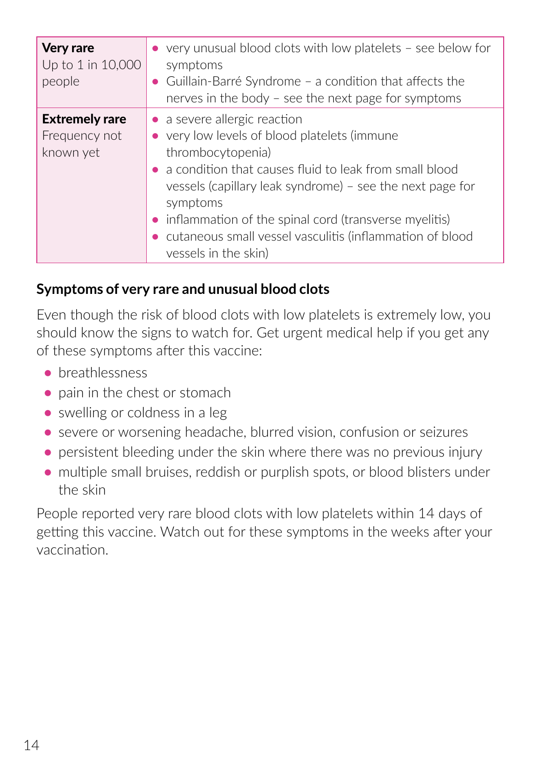| <b>Very rare</b><br>Up to 1 in 10,000<br>people     | $\bullet$ very unusual blood clots with low platelets - see below for<br>symptoms<br>• Guillain-Barré Syndrome - a condition that affects the<br>nerves in the body - see the next page for symptoms                                                                                                                                                                                          |
|-----------------------------------------------------|-----------------------------------------------------------------------------------------------------------------------------------------------------------------------------------------------------------------------------------------------------------------------------------------------------------------------------------------------------------------------------------------------|
| <b>Extremely rare</b><br>Frequency not<br>known yet | • a severe allergic reaction<br>• very low levels of blood platelets (immune<br>thrombocytopenia)<br>$\bullet$ a condition that causes fluid to leak from small blood<br>vessels (capillary leak syndrome) - see the next page for<br>symptoms<br>• inflammation of the spinal cord (transverse myelitis)<br>cutaneous small vessel vasculitis (inflammation of blood<br>vessels in the skin) |

### **Symptoms of very rare and unusual blood clots**

Even though the risk of blood clots with low platelets is extremely low, you should know the signs to watch for. Get urgent medical help if you get any of these symptoms after this vaccine:

- **•** breathlessness
- **•** pain in the chest or stomach
- **•** swelling or coldness in a leg
- **•** severe or worsening headache, blurred vision, confusion or seizures
- persistent bleeding under the skin where there was no previous injury
- **•** multiple small bruises, reddish or purplish spots, or blood blisters under the skin

People reported very rare blood clots with low platelets within 14 days of getting this vaccine. Watch out for these symptoms in the weeks after your vaccination.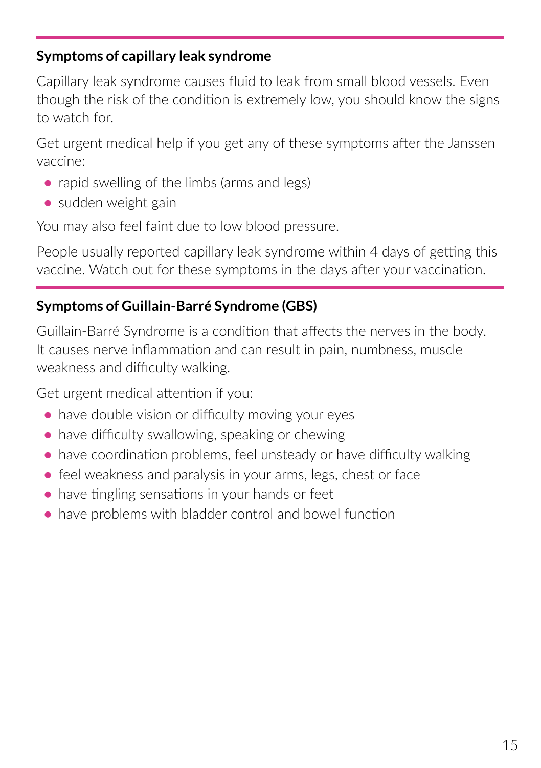### **Symptoms of capillary leak syndrome**

Capillary leak syndrome causes fluid to leak from small blood vessels. Even though the risk of the condition is extremely low, you should know the signs to watch for.

Get urgent medical help if you get any of these symptoms after the Janssen vaccine:

- rapid swelling of the limbs (arms and legs)
- **•** sudden weight gain

You may also feel faint due to low blood pressure.

People usually reported capillary leak syndrome within 4 days of getting this vaccine. Watch out for these symptoms in the days after your vaccination.

### **Symptoms of Guillain-Barré Syndrome (GBS)**

Guillain-Barré Syndrome is a condition that affects the nerves in the body. It causes nerve inflammation and can result in pain, numbness, muscle weakness and difficulty walking.

Get urgent medical attention if you:

- have double vision or difficulty moving your eyes
- have difficulty swallowing, speaking or chewing
- **•** have coordination problems, feel unsteady or have difficulty walking
- feel weakness and paralysis in your arms, legs, chest or face
- have tingling sensations in your hands or feet
- **•** have problems with bladder control and bowel function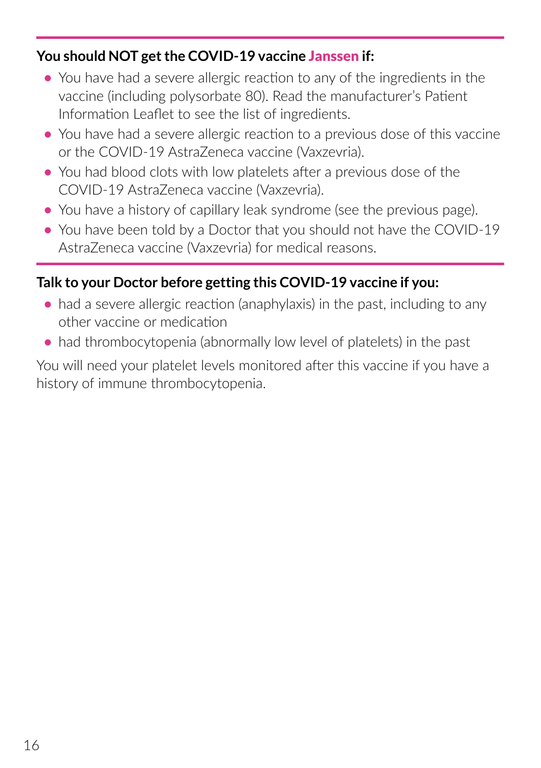### **You should NOT get the COVID-19 vaccine** Janssen **if:**

- **•** You have had a severe allergic reaction to any of the ingredients in the vaccine (including polysorbate 80). Read the manufacturer's Patient Information Leaflet to see the list of ingredients.
- **•** You have had a severe allergic reaction to a previous dose of this vaccine or the COVID-19 AstraZeneca vaccine (Vaxzevria).
- **•** You had blood clots with low platelets after a previous dose of the COVID-19 AstraZeneca vaccine (Vaxzevria).
- **•** You have a history of capillary leak syndrome (see the previous page).
- You have been told by a Doctor that you should not have the COVID-19 AstraZeneca vaccine (Vaxzevria) for medical reasons.

### **Talk to your Doctor before getting this COVID-19 vaccine if you:**

- **•** had a severe allergic reaction (anaphylaxis) in the past, including to any other vaccine or medication
- had thrombocytopenia (abnormally low level of platelets) in the past

You will need your platelet levels monitored after this vaccine if you have a history of immune thrombocytopenia.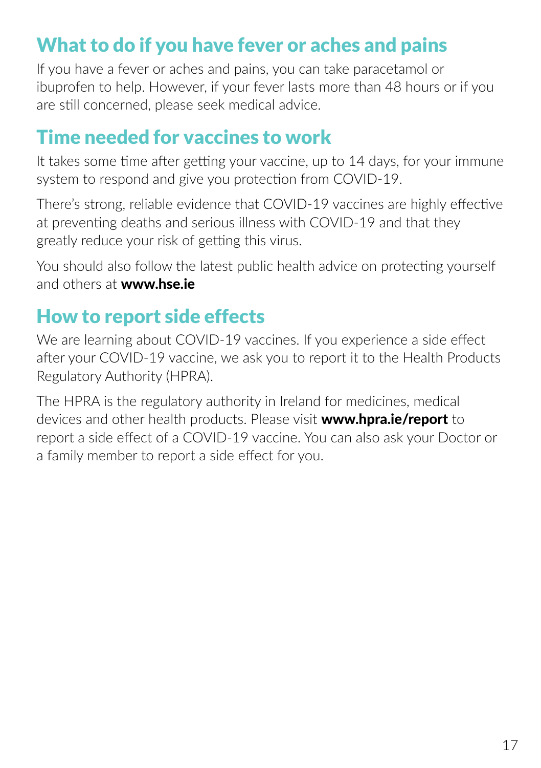# What to do if you have fever or aches and pains

If you have a fever or aches and pains, you can take paracetamol or ibuprofen to help. However, if your fever lasts more than 48 hours or if you are still concerned, please seek medical advice.

### Time needed for vaccines to work

It takes some time after getting your vaccine, up to 14 days, for your immune system to respond and give you protection from COVID-19.

There's strong, reliable evidence that COVID-19 vaccines are highly effective at preventing deaths and serious illness with COVID-19 and that they greatly reduce your risk of getting this virus.

You should also follow the latest public health advice on protecting yourself and others at **www.[hse.ie](https://www.hse.ie/eng/)** 

## How to report side effects

We are learning about COVID-19 vaccines. If you experience a side effect after your COVID-19 vaccine, we ask you to report it to the Health Products Regulatory Authority (HPRA).

The HPRA is the regulatory authority in Ireland for medicines, medical devices and other health products. Please visit [www.hpra.ie/report](https://www.hse.ie/eng/services/news/newsfeatures/covid19-updates/covid-19-vaccine-materials/covid-19-vaccine-patient-information.html) to report a side effect of a COVID-19 vaccine. You can also ask your Doctor or a family member to report a side effect for you.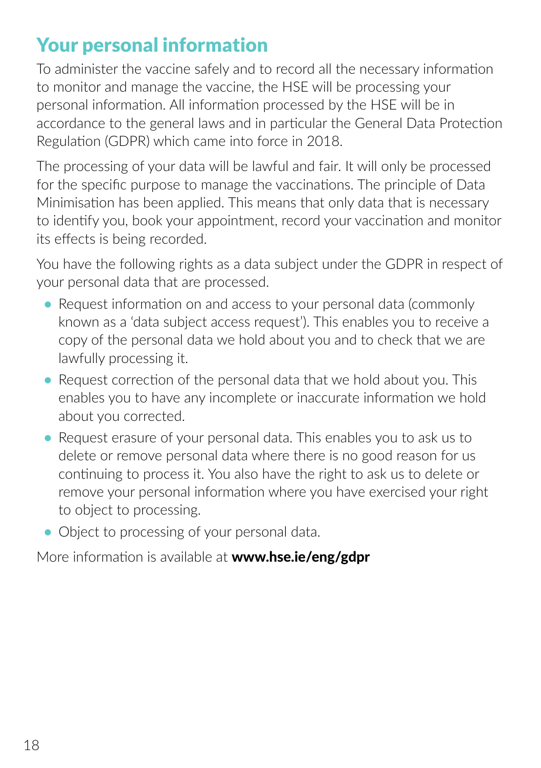# Your personal information

To administer the vaccine safely and to record all the necessary information to monitor and manage the vaccine, the HSE will be processing your personal information. All information processed by the HSE will be in accordance to the general laws and in particular the General Data Protection Regulation (GDPR) which came into force in 2018.

The processing of your data will be lawful and fair. It will only be processed for the specific purpose to manage the vaccinations. The principle of Data Minimisation has been applied. This means that only data that is necessary to identify you, book your appointment, record your vaccination and monitor its effects is being recorded.

You have the following rights as a data subject under the GDPR in respect of your personal data that are processed.

- Request information on and access to your personal data (commonly known as a 'data subject access request'). This enables you to receive a copy of the personal data we hold about you and to check that we are lawfully processing it.
- **•** Request correction of the personal data that we hold about you. This enables you to have any incomplete or inaccurate information we hold about you corrected.
- **•** Request erasure of your personal data. This enables you to ask us to delete or remove personal data where there is no good reason for us continuing to process it. You also have the right to ask us to delete or remove your personal information where you have exercised your right to object to processing.
- Object to processing of your personal data.

More information is available at www.hse.ie/eng/gdpr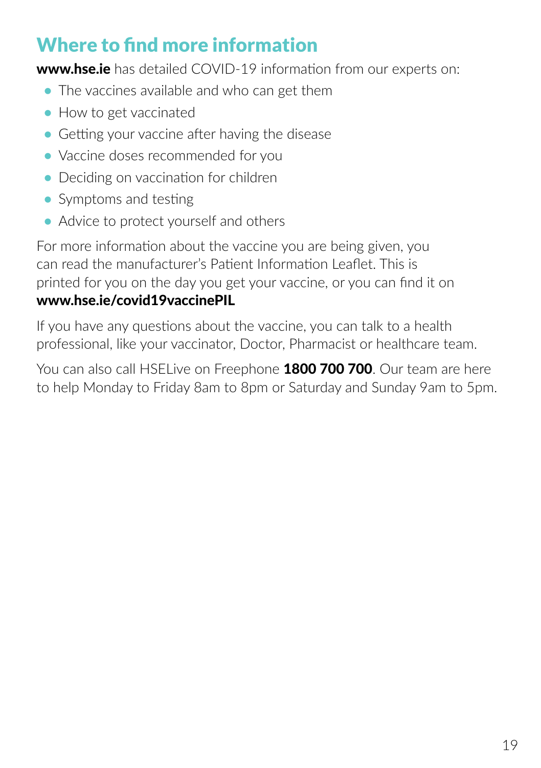# Where to find more information

www.h[se.ie](https://www.hse.ie/eng/) has detailed COVID-19 information from our experts on:

- **•** The vaccines available and who can get them
- **•** How to get vaccinated
- **•** Getting your vaccine after having the disease
- **•** Vaccine doses recommended for you
- **•** Deciding on vaccination for children
- **•** Symptoms and testing
- **•** Advice to protect yourself and others

For more information about the vaccine you are being given, you can read the manufacturer's Patient Information Leaflet. This is printed for you on the day you get your vaccine, or you can find it on

### [www.hse.ie/covid19vaccinePIL](https://www.hse.ie/eng/services/news/newsfeatures/covid19-updates/covid-19-vaccine-materials/covid-19-vaccine-patient-information.html)

If you have any questions about the vaccine, you can talk to a health professional, like your vaccinator, Doctor, Pharmacist or healthcare team.

You can also call HSELive on Freephone 1800 700 700. Our team are here to help Monday to Friday 8am to 8pm or Saturday and Sunday 9am to 5pm.